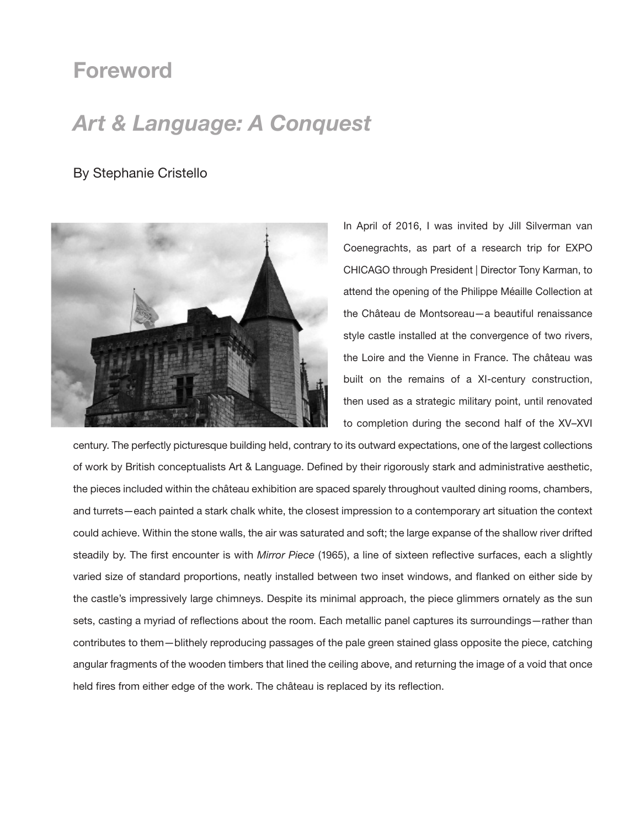## **Foreword**

## *Art & Language: A Conquest*

#### By Stephanie Cristello



In April of 2016, I was invited by Jill Silverman van Coenegrachts, as part of a research trip for EXPO CHICAGO through President | Director Tony Karman, to attend the opening of the Philippe Méaille Collection at the Château de Montsoreau—a beautiful renaissance style castle installed at the convergence of two rivers, the Loire and the Vienne in France. The château was built on the remains of a XI-century construction, then used as a strategic military point, until renovated to completion during the second half of the XV–XVI

century. The perfectly picturesque building held, contrary to its outward expectations, one of the largest collections of work by British conceptualists Art & Language. Defined by their rigorously stark and administrative aesthetic, the pieces included within the château exhibition are spaced sparely throughout vaulted dining rooms, chambers, and turrets—each painted a stark chalk white, the closest impression to a contemporary art situation the context could achieve. Within the stone walls, the air was saturated and soft; the large expanse of the shallow river drifted steadily by. The first encounter is with *Mirror Piece* (1965), a line of sixteen reflective surfaces, each a slightly varied size of standard proportions, neatly installed between two inset windows, and flanked on either side by the castle's impressively large chimneys. Despite its minimal approach, the piece glimmers ornately as the sun sets, casting a myriad of reflections about the room. Each metallic panel captures its surroundings—rather than contributes to them—blithely reproducing passages of the pale green stained glass opposite the piece, catching angular fragments of the wooden timbers that lined the ceiling above, and returning the image of a void that once held fires from either edge of the work. The château is replaced by its reflection.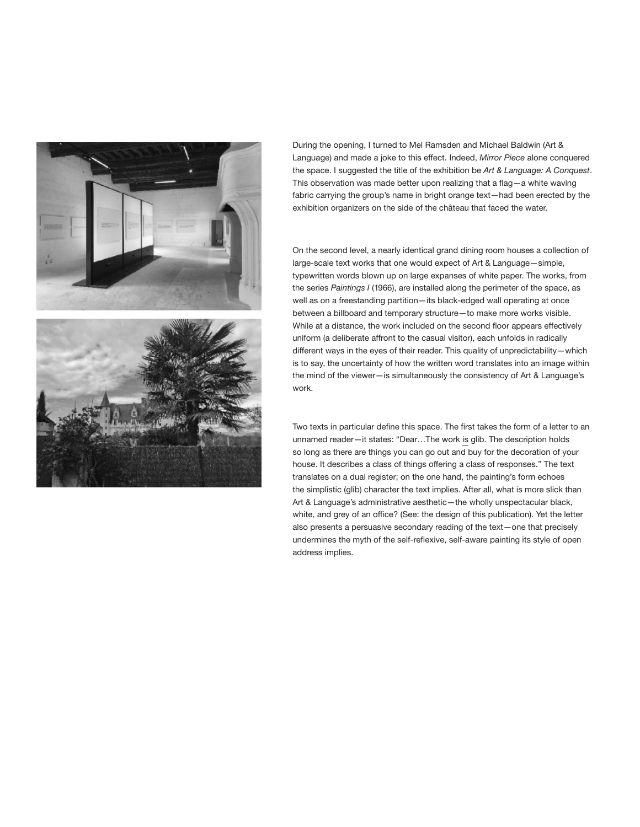



During the opening, I turned to Mel Ramsden and Michael Baldwin (Art & Language) and made a joke to this effect. Indeed, *Mirror Piece* alone conquered the space. I suggested the title of the exhibition be *Art & Language: A Conquest*. This observation was made better upon realizing that a flag—a white waving fabric carrying the group's name in bright orange text—had been erected by the exhibition organizers on the side of the château that faced the water.

On the second level, a nearly identical grand dining room houses a collection of large-scale text works that one would expect of Art & Language—simple, typewritten words blown up on large expanses of white paper. The works, from the series *Paintings I* (1966), are installed along the perimeter of the space, as well as on a freestanding partition—its black-edged wall operating at once between a billboard and temporary structure—to make more works visible. While at a distance, the work included on the second floor appears effectively uniform (a deliberate affront to the casual visitor), each unfolds in radically different ways in the eyes of their reader. This quality of unpredictability—which is to say, the uncertainty of how the written word translates into an image within the mind of the viewer—is simultaneously the consistency of Art & Language's work.

Two texts in particular define this space. The first takes the form of a letter to an unnamed reader—it states: "Dear…The work is glib. The description holds so long as there are things you can go out and buy for the decoration of your house. It describes a class of things offering a class of responses." The text translates on a dual register; on the one hand, the painting's form echoes the simplistic (glib) character the text implies. After all, what is more slick than Art & Language's administrative aesthetic—the wholly unspectacular black, white, and grey of an office? (See: the design of this publication). Yet the letter also presents a persuasive secondary reading of the text—one that precisely undermines the myth of the self-reflexive, self-aware painting its style of open address implies.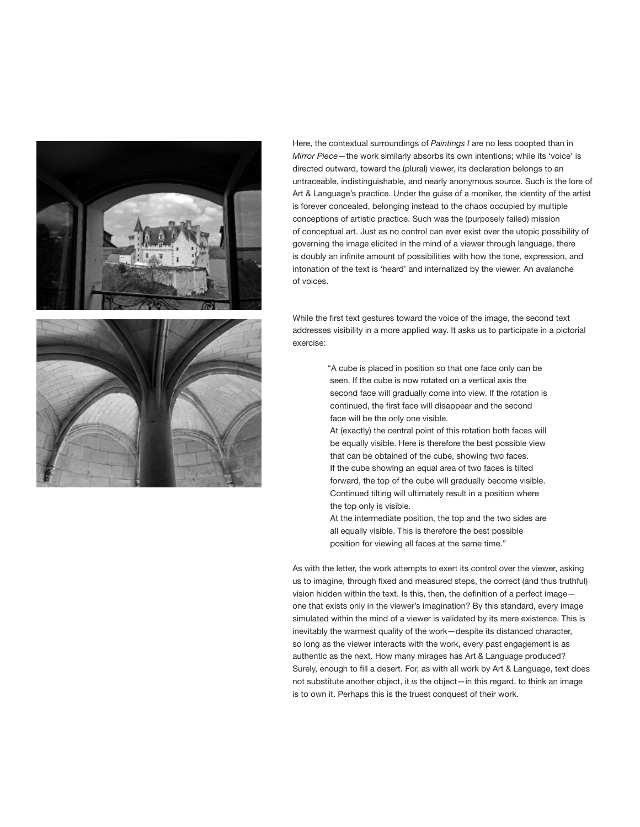

Here, the contextual surroundings of *Paintings I* are no less coopted than in *Mirror Piece*—the work similarly absorbs its own intentions; while its 'voice' is directed outward, toward the (plural) viewer, its declaration belongs to an untraceable, indistinguishable, and nearly anonymous source. Such is the lore of Art & Language's practice. Under the guise of a moniker, the identity of the artist is forever concealed, belonging instead to the chaos occupied by multiple conceptions of artistic practice. Such was the (purposely failed) mission of conceptual art. Just as no control can ever exist over the utopic possibility of governing the image elicited in the mind of a viewer through language, there is doubly an infinite amount of possibilities with how the tone, expression, and intonation of the text is 'heard' and internalized by the viewer. An avalanche of voices.

While the first text gestures toward the voice of the image, the second text addresses visibility in a more applied way. It asks us to participate in a pictorial exercise:

- "A cube is placed in position so that one face only can be seen. If the cube is now rotated on a vertical axis the second face will gradually come into view. If the rotation is continued, the first face will disappear and the second face will be the only one visible.
- At (exactly) the central point of this rotation both faces will be equally visible. Here is therefore the best possible view that can be obtained of the cube, showing two faces. If the cube showing an equal area of two faces is tilted forward, the top of the cube will gradually become visible. Continued tilting will ultimately result in a position where the top only is visible.

At the intermediate position, the top and the two sides are all equally visible. This is therefore the best possible position for viewing all faces at the same time."

As with the letter, the work attempts to exert its control over the viewer, asking us to imagine, through fixed and measured steps, the correct (and thus truthful) vision hidden within the text. Is this, then, the definition of a perfect image one that exists only in the viewer's imagination? By this standard, every image simulated within the mind of a viewer is validated by its mere existence. This is inevitably the warmest quality of the work—despite its distanced character, so long as the viewer interacts with the work, every past engagement is as authentic as the next. How many mirages has Art & Language produced? Surely, enough to fill a desert. For, as with all work by Art & Language, text does not substitute another object, it *is* the object—in this regard, to think an image is to own it. Perhaps this is the truest conquest of their work.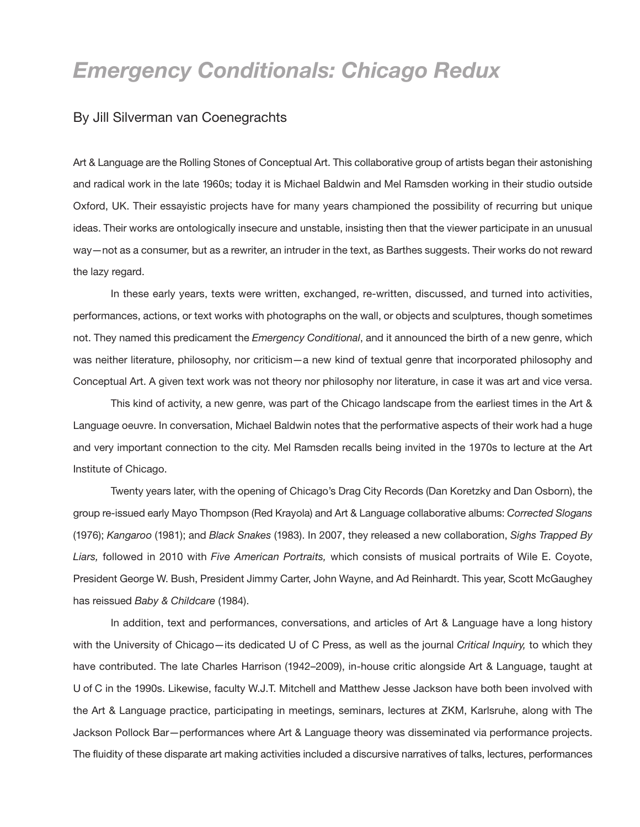## *Emergency Conditionals: Chicago Redux*

#### By Jill Silverman van Coenegrachts

Art & Language are the Rolling Stones of Conceptual Art. This collaborative group of artists began their astonishing and radical work in the late 1960s; today it is Michael Baldwin and Mel Ramsden working in their studio outside Oxford, UK. Their essayistic projects have for many years championed the possibility of recurring but unique ideas. Their works are ontologically insecure and unstable, insisting then that the viewer participate in an unusual way—not as a consumer, but as a rewriter, an intruder in the text, as Barthes suggests. Their works do not reward the lazy regard.

In these early years, texts were written, exchanged, re-written, discussed, and turned into activities, performances, actions, or text works with photographs on the wall, or objects and sculptures, though sometimes not. They named this predicament the *Emergency Conditional*, and it announced the birth of a new genre, which was neither literature, philosophy, nor criticism—a new kind of textual genre that incorporated philosophy and Conceptual Art. A given text work was not theory nor philosophy nor literature, in case it was art and vice versa.

This kind of activity, a new genre, was part of the Chicago landscape from the earliest times in the Art & Language oeuvre. In conversation, Michael Baldwin notes that the performative aspects of their work had a huge and very important connection to the city. Mel Ramsden recalls being invited in the 1970s to lecture at the Art Institute of Chicago.

Twenty years later, with the opening of Chicago's Drag City Records (Dan Koretzky and Dan Osborn), the group re-issued early Mayo Thompson (Red Krayola) and Art & Language collaborative albums: *Corrected Slogans* (1976); *Kangaroo* (1981); and *Black Snakes* (1983). In 2007, they released a new collaboration, *Sighs Trapped By Liars,* followed in 2010 with *Five American Portraits,* which consists of musical portraits of Wile E. Coyote, President George W. Bush, President Jimmy Carter, John Wayne, and Ad Reinhardt. This year, Scott McGaughey has reissued *Baby & Childcare* (1984).

In addition, text and performances, conversations, and articles of Art & Language have a long history with the University of Chicago—its dedicated U of C Press, as well as the journal *Critical Inquiry,* to which they have contributed. The late Charles Harrison (1942–2009), in-house critic alongside Art & Language, taught at U of C in the 1990s. Likewise, faculty W.J.T. Mitchell and Matthew Jesse Jackson have both been involved with the Art & Language practice, participating in meetings, seminars, lectures at ZKM, Karlsruhe, along with The Jackson Pollock Bar—performances where Art & Language theory was disseminated via performance projects. The fluidity of these disparate art making activities included a discursive narratives of talks, lectures, performances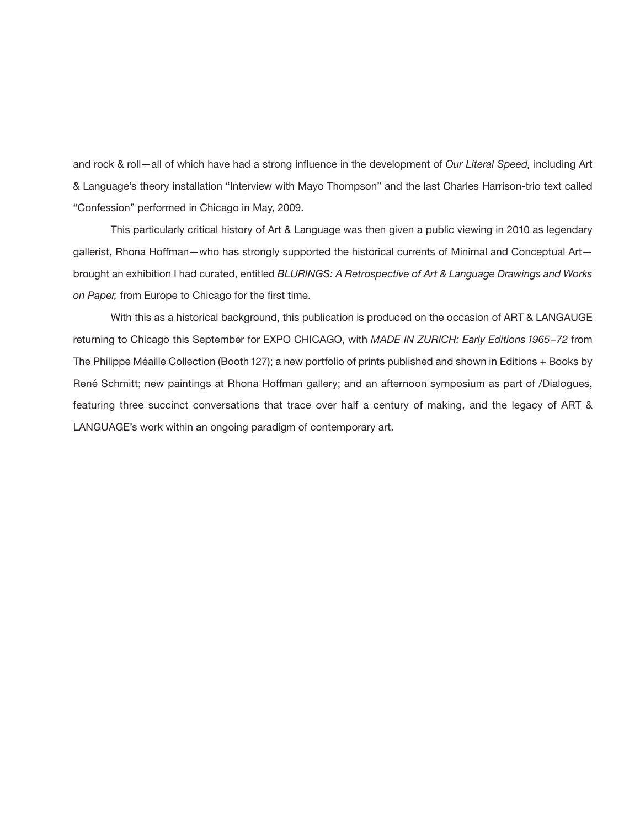and rock & roll—all of which have had a strong influence in the development of *Our Literal Speed,* including Art & Language's theory installation "Interview with Mayo Thompson" and the last Charles Harrison-trio text called "Confession" performed in Chicago in May, 2009.

This particularly critical history of Art & Language was then given a public viewing in 2010 as legendary gallerist, Rhona Hoffman—who has strongly supported the historical currents of Minimal and Conceptual Art brought an exhibition I had curated, entitled *BLURINGS: A Retrospective of Art & Language Drawings and Works on Paper,* from Europe to Chicago for the first time.

With this as a historical background, this publication is produced on the occasion of ART & LANGAUGE returning to Chicago this September for EXPO CHICAGO, with *MADE IN ZURICH: Early Editions 1965–72* from The Philippe Méaille Collection (Booth 127); a new portfolio of prints published and shown in Editions + Books by René Schmitt; new paintings at Rhona Hoffman gallery; and an afternoon symposium as part of /Dialogues, featuring three succinct conversations that trace over half a century of making, and the legacy of ART & LANGUAGE's work within an ongoing paradigm of contemporary art.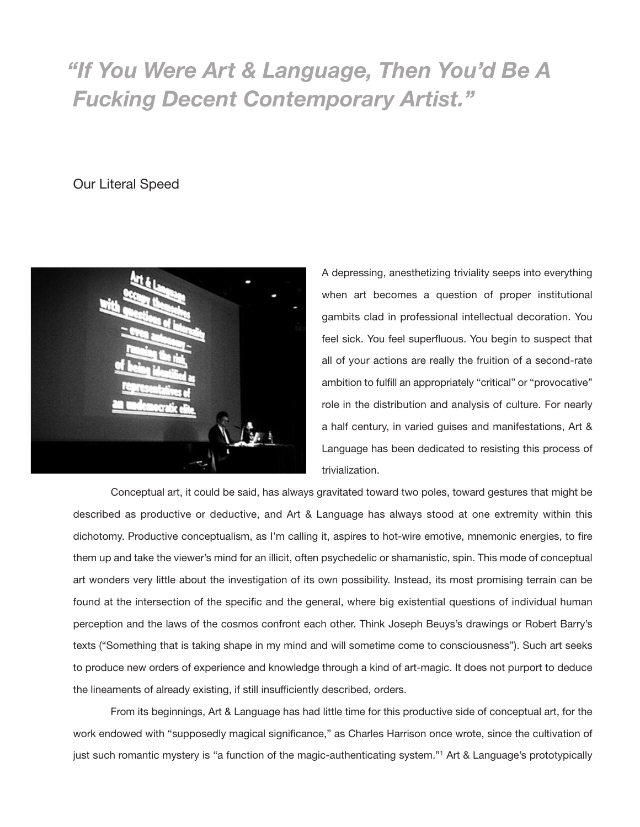## *"If You Were Art & Language, Then You'd Be A Fucking Decent Contemporary Artist."*

Our Literal Speed



A depressing, anesthetizing triviality seeps into everything when art becomes a question of proper institutional gambits clad in professional intellectual decoration. You feel sick. You feel superfluous. You begin to suspect that all of your actions are really the fruition of a second-rate ambition to fulfill an appropriately "critical" or "provocative" role in the distribution and analysis of culture. For nearly a half century, in varied guises and manifestations, Art & Language has been dedicated to resisting this process of trivialization.

Conceptual art, it could be said, has always gravitated toward two poles, toward gestures that might be described as productive or deductive, and Art & Language has always stood at one extremity within this dichotomy. Productive conceptualism, as I'm calling it, aspires to hot-wire emotive, mnemonic energies, to fire them up and take the viewer's mind for an illicit, often psychedelic or shamanistic, spin. This mode of conceptual art wonders very little about the investigation of its own possibility. Instead, its most promising terrain can be found at the intersection of the specific and the general, where big existential questions of individual human perception and the laws of the cosmos confront each other. Think Joseph Beuys's drawings or Robert Barry's texts ("Something that is taking shape in my mind and will sometime come to consciousness"). Such art seeks to produce new orders of experience and knowledge through a kind of art-magic. It does not purport to deduce the lineaments of already existing, if still insufficiently described, orders.

From its beginnings, Art & Language has had little time for this productive side of conceptual art, for the work endowed with "supposedly magical significance," as Charles Harrison once wrote, since the cultivation of just such romantic mystery is "a function of the magic-authenticating system."1 Art & Language's prototypically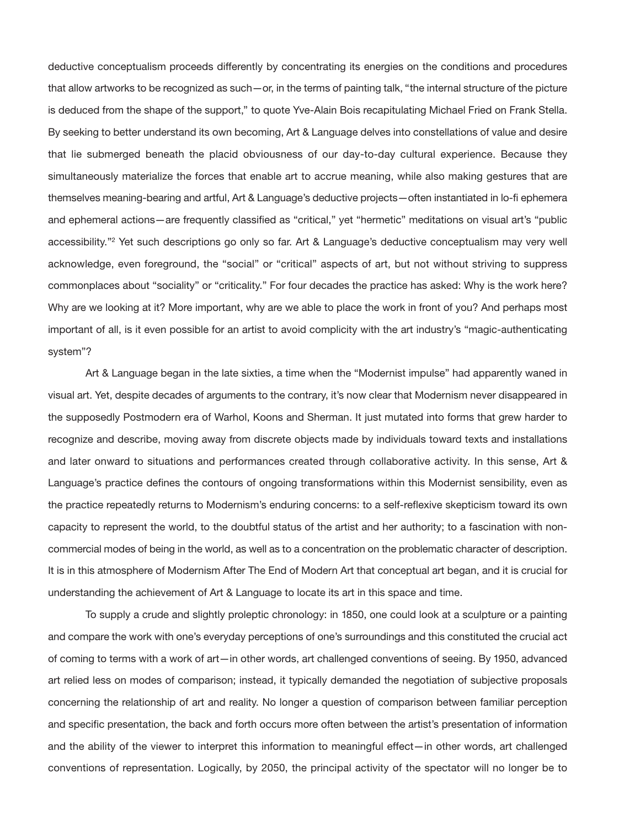deductive conceptualism proceeds differently by concentrating its energies on the conditions and procedures that allow artworks to be recognized as such—or, in the terms of painting talk, "the internal structure of the picture is deduced from the shape of the support," to quote Yve-Alain Bois recapitulating Michael Fried on Frank Stella. By seeking to better understand its own becoming, Art & Language delves into constellations of value and desire that lie submerged beneath the placid obviousness of our day-to-day cultural experience. Because they simultaneously materialize the forces that enable art to accrue meaning, while also making gestures that are themselves meaning-bearing and artful, Art & Language's deductive projects—often instantiated in lo-fi ephemera and ephemeral actions—are frequently classified as "critical," yet "hermetic" meditations on visual art's "public accessibility."2 Yet such descriptions go only so far. Art & Language's deductive conceptualism may very well acknowledge, even foreground, the "social" or "critical" aspects of art, but not without striving to suppress commonplaces about "sociality" or "criticality." For four decades the practice has asked: Why is the work here? Why are we looking at it? More important, why are we able to place the work in front of you? And perhaps most important of all, is it even possible for an artist to avoid complicity with the art industry's "magic-authenticating system"?

Art & Language began in the late sixties, a time when the "Modernist impulse" had apparently waned in visual art. Yet, despite decades of arguments to the contrary, it's now clear that Modernism never disappeared in the supposedly Postmodern era of Warhol, Koons and Sherman. It just mutated into forms that grew harder to recognize and describe, moving away from discrete objects made by individuals toward texts and installations and later onward to situations and performances created through collaborative activity. In this sense, Art & Language's practice defines the contours of ongoing transformations within this Modernist sensibility, even as the practice repeatedly returns to Modernism's enduring concerns: to a self-reflexive skepticism toward its own capacity to represent the world, to the doubtful status of the artist and her authority; to a fascination with noncommercial modes of being in the world, as well as to a concentration on the problematic character of description. It is in this atmosphere of Modernism After The End of Modern Art that conceptual art began, and it is crucial for understanding the achievement of Art & Language to locate its art in this space and time.

To supply a crude and slightly proleptic chronology: in 1850, one could look at a sculpture or a painting and compare the work with one's everyday perceptions of one's surroundings and this constituted the crucial act of coming to terms with a work of art—in other words, art challenged conventions of seeing. By 1950, advanced art relied less on modes of comparison; instead, it typically demanded the negotiation of subjective proposals concerning the relationship of art and reality. No longer a question of comparison between familiar perception and specific presentation, the back and forth occurs more often between the artist's presentation of information and the ability of the viewer to interpret this information to meaningful effect—in other words, art challenged conventions of representation. Logically, by 2050, the principal activity of the spectator will no longer be to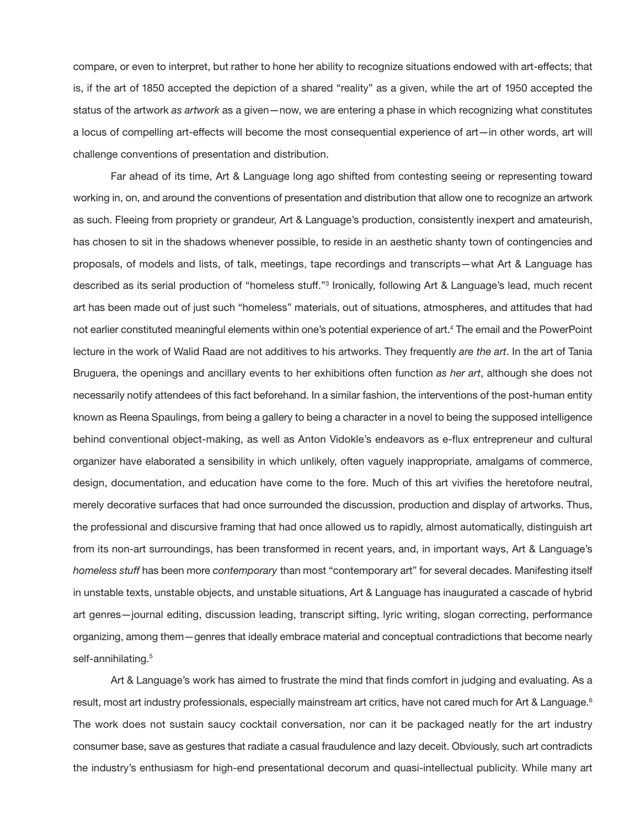compare, or even to interpret, but rather to hone her ability to recognize situations endowed with art-effects; that is, if the art of 1850 accepted the depiction of a shared "reality" as a given, while the art of 1950 accepted the status of the artwork *as artwork* as a given—now, we are entering a phase in which recognizing what constitutes a locus of compelling art-effects will become the most consequential experience of art—in other words, art will challenge conventions of presentation and distribution.

Far ahead of its time, Art & Language long ago shifted from contesting seeing or representing toward working in, on, and around the conventions of presentation and distribution that allow one to recognize an artwork as such. Fleeing from propriety or grandeur, Art & Language's production, consistently inexpert and amateurish, has chosen to sit in the shadows whenever possible, to reside in an aesthetic shanty town of contingencies and proposals, of models and lists, of talk, meetings, tape recordings and transcripts—what Art & Language has described as its serial production of "homeless stuff."3 Ironically, following Art & Language's lead, much recent art has been made out of just such "homeless" materials, out of situations, atmospheres, and attitudes that had not earlier constituted meaningful elements within one's potential experience of art. <sup>4</sup> The email and the PowerPoint lecture in the work of Walid Raad are not additives to his artworks. They frequently *are the art*. In the art of Tania Bruguera, the openings and ancillary events to her exhibitions often function *as her art*, although she does not necessarily notify attendees of this fact beforehand. In a similar fashion, the interventions of the post-human entity known as Reena Spaulings, from being a gallery to being a character in a novel to being the supposed intelligence behind conventional object-making, as well as Anton Vidokle's endeavors as e-flux entrepreneur and cultural organizer have elaborated a sensibility in which unlikely, often vaguely inappropriate, amalgams of commerce, design, documentation, and education have come to the fore. Much of this art vivifies the heretofore neutral, merely decorative surfaces that had once surrounded the discussion, production and display of artworks. Thus, the professional and discursive framing that had once allowed us to rapidly, almost automatically, distinguish art from its non-art surroundings, has been transformed in recent years, and, in important ways, Art & Language's *homeless stuff* has been more *contemporary* than most "contemporary art" for several decades. Manifesting itself in unstable texts, unstable objects, and unstable situations, Art & Language has inaugurated a cascade of hybrid art genres—journal editing, discussion leading, transcript sifting, lyric writing, slogan correcting, performance organizing, among them—genres that ideally embrace material and conceptual contradictions that become nearly self-annihilating. 5

Art & Language's work has aimed to frustrate the mind that finds comfort in judging and evaluating. As a result, most art industry professionals, especially mainstream art critics, have not cared much for Art & Language. 6 The work does not sustain saucy cocktail conversation, nor can it be packaged neatly for the art industry consumer base, save as gestures that radiate a casual fraudulence and lazy deceit. Obviously, such art contradicts the industry's enthusiasm for high-end presentational decorum and quasi-intellectual publicity. While many art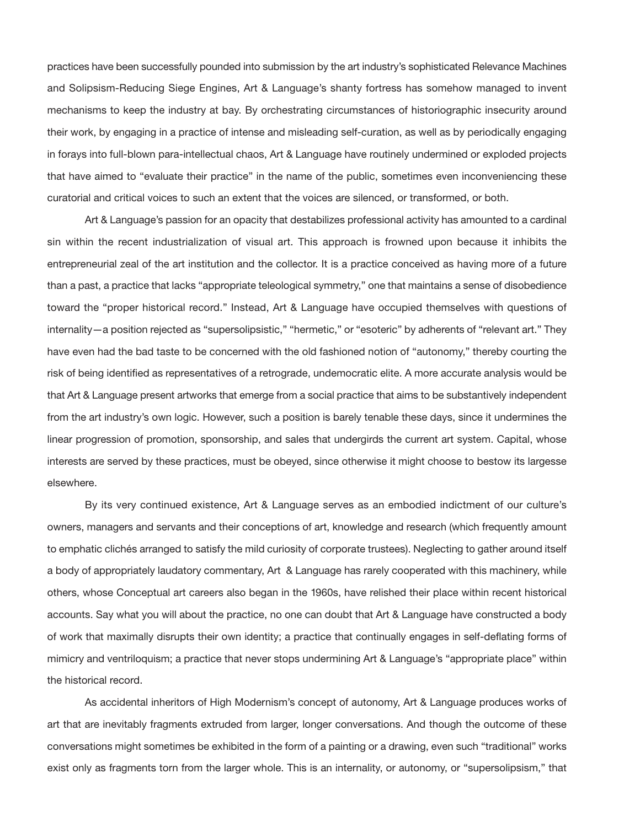practices have been successfully pounded into submission by the art industry's sophisticated Relevance Machines and Solipsism-Reducing Siege Engines, Art & Language's shanty fortress has somehow managed to invent mechanisms to keep the industry at bay. By orchestrating circumstances of historiographic insecurity around their work, by engaging in a practice of intense and misleading self-curation, as well as by periodically engaging in forays into full-blown para-intellectual chaos, Art & Language have routinely undermined or exploded projects that have aimed to "evaluate their practice" in the name of the public, sometimes even inconveniencing these curatorial and critical voices to such an extent that the voices are silenced, or transformed, or both.

Art & Language's passion for an opacity that destabilizes professional activity has amounted to a cardinal sin within the recent industrialization of visual art. This approach is frowned upon because it inhibits the entrepreneurial zeal of the art institution and the collector. It is a practice conceived as having more of a future than a past, a practice that lacks "appropriate teleological symmetry," one that maintains a sense of disobedience toward the "proper historical record." Instead, Art & Language have occupied themselves with questions of internality—a position rejected as "supersolipsistic," "hermetic," or "esoteric" by adherents of "relevant art." They have even had the bad taste to be concerned with the old fashioned notion of "autonomy," thereby courting the risk of being identified as representatives of a retrograde, undemocratic elite. A more accurate analysis would be that Art & Language present artworks that emerge from a social practice that aims to be substantively independent from the art industry's own logic. However, such a position is barely tenable these days, since it undermines the linear progression of promotion, sponsorship, and sales that undergirds the current art system. Capital, whose interests are served by these practices, must be obeyed, since otherwise it might choose to bestow its largesse elsewhere.

By its very continued existence, Art & Language serves as an embodied indictment of our culture's owners, managers and servants and their conceptions of art, knowledge and research (which frequently amount to emphatic clichés arranged to satisfy the mild curiosity of corporate trustees). Neglecting to gather around itself a body of appropriately laudatory commentary, Art & Language has rarely cooperated with this machinery, while others, whose Conceptual art careers also began in the 1960s, have relished their place within recent historical accounts. Say what you will about the practice, no one can doubt that Art & Language have constructed a body of work that maximally disrupts their own identity; a practice that continually engages in self-deflating forms of mimicry and ventriloquism; a practice that never stops undermining Art & Language's "appropriate place" within the historical record.

As accidental inheritors of High Modernism's concept of autonomy, Art & Language produces works of art that are inevitably fragments extruded from larger, longer conversations. And though the outcome of these conversations might sometimes be exhibited in the form of a painting or a drawing, even such "traditional" works exist only as fragments torn from the larger whole. This is an internality, or autonomy, or "supersolipsism," that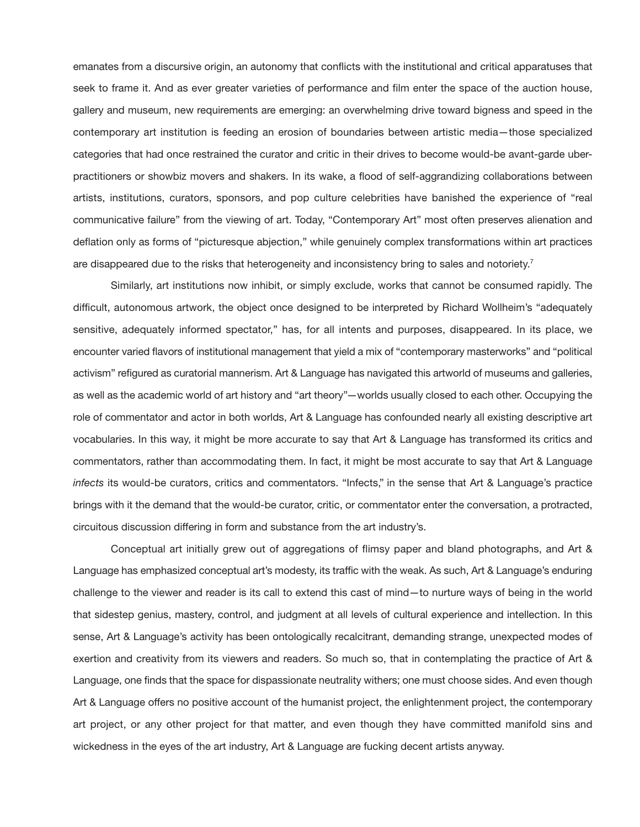emanates from a discursive origin, an autonomy that conflicts with the institutional and critical apparatuses that seek to frame it. And as ever greater varieties of performance and film enter the space of the auction house, gallery and museum, new requirements are emerging: an overwhelming drive toward bigness and speed in the contemporary art institution is feeding an erosion of boundaries between artistic media—those specialized categories that had once restrained the curator and critic in their drives to become would-be avant-garde uberpractitioners or showbiz movers and shakers. In its wake, a flood of self-aggrandizing collaborations between artists, institutions, curators, sponsors, and pop culture celebrities have banished the experience of "real communicative failure" from the viewing of art. Today, "Contemporary Art" most often preserves alienation and deflation only as forms of "picturesque abjection," while genuinely complex transformations within art practices are disappeared due to the risks that heterogeneity and inconsistency bring to sales and notoriety.<sup>7</sup>

Similarly, art institutions now inhibit, or simply exclude, works that cannot be consumed rapidly. The difficult, autonomous artwork, the object once designed to be interpreted by Richard Wollheim's "adequately sensitive, adequately informed spectator," has, for all intents and purposes, disappeared. In its place, we encounter varied flavors of institutional management that yield a mix of "contemporary masterworks" and "political activism" refigured as curatorial mannerism. Art & Language has navigated this artworld of museums and galleries, as well as the academic world of art history and "art theory"—worlds usually closed to each other. Occupying the role of commentator and actor in both worlds, Art & Language has confounded nearly all existing descriptive art vocabularies. In this way, it might be more accurate to say that Art & Language has transformed its critics and commentators, rather than accommodating them. In fact, it might be most accurate to say that Art & Language *infects* its would-be curators, critics and commentators. "Infects," in the sense that Art & Language's practice brings with it the demand that the would-be curator, critic, or commentator enter the conversation, a protracted, circuitous discussion differing in form and substance from the art industry's.

Conceptual art initially grew out of aggregations of flimsy paper and bland photographs, and Art & Language has emphasized conceptual art's modesty, its traffic with the weak. As such, Art & Language's enduring challenge to the viewer and reader is its call to extend this cast of mind—to nurture ways of being in the world that sidestep genius, mastery, control, and judgment at all levels of cultural experience and intellection. In this sense, Art & Language's activity has been ontologically recalcitrant, demanding strange, unexpected modes of exertion and creativity from its viewers and readers. So much so, that in contemplating the practice of Art & Language, one finds that the space for dispassionate neutrality withers; one must choose sides. And even though Art & Language offers no positive account of the humanist project, the enlightenment project, the contemporary art project, or any other project for that matter, and even though they have committed manifold sins and wickedness in the eyes of the art industry, Art & Language are fucking decent artists anyway.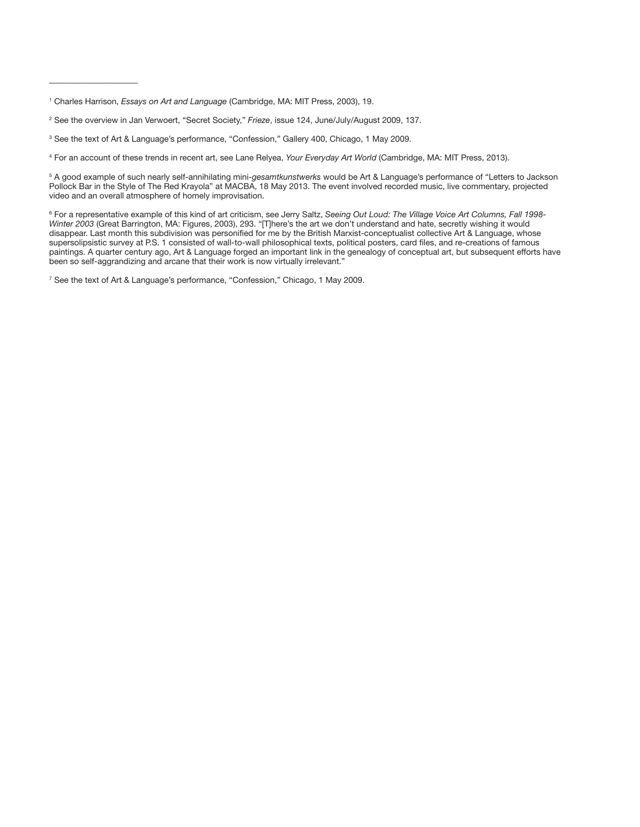\_\_\_\_\_\_\_\_\_\_\_\_\_\_\_\_\_

<sup>4</sup> For an account of these trends in recent art, see Lane Relyea, *Your Everyday Art World* (Cambridge, MA: MIT Press, 2013).

<sup>5</sup> A good example of such nearly self-annihilating mini-*gesamtkunstwerks* would be Art & Language's performance of "Letters to Jackson Pollock Bar in the Style of The Red Krayola" at MACBA, 18 May 2013. The event involved recorded music, live commentary, projected video and an overall atmosphere of homely improvisation.

<sup>6</sup> For a representative example of this kind of art criticism, see Jerry Saltz, *Seeing Out Loud: The Village Voice Art Columns, Fall 1998- Winter 2003* (Great Barrington, MA: Figures, 2003), 293. "[T]here's the art we don't understand and hate, secretly wishing it would disappear. Last month this subdivision was personified for me by the British Marxist-conceptualist collective Art & Language, whose supersolipsistic survey at P.S. 1 consisted of wall-to-wall philosophical texts, political posters, card files, and re-creations of famous paintings. A quarter century ago, Art & Language forged an important link in the genealogy of conceptual art, but subsequent efforts have been so self-aggrandizing and arcane that their work is now virtually irrelevant."

<sup>7</sup> See the text of Art & Language's performance, "Confession," Chicago, 1 May 2009.

<sup>1</sup> Charles Harrison, *Essays on Art and Language* (Cambridge, MA: MIT Press, 2003), 19.

<sup>2</sup> See the overview in Jan Verwoert, "Secret Society," *Frieze*, issue 124, June/July/August 2009, 137.

<sup>&</sup>lt;sup>3</sup> See the text of Art & Language's performance, "Confession," Gallery 400, Chicago, 1 May 2009.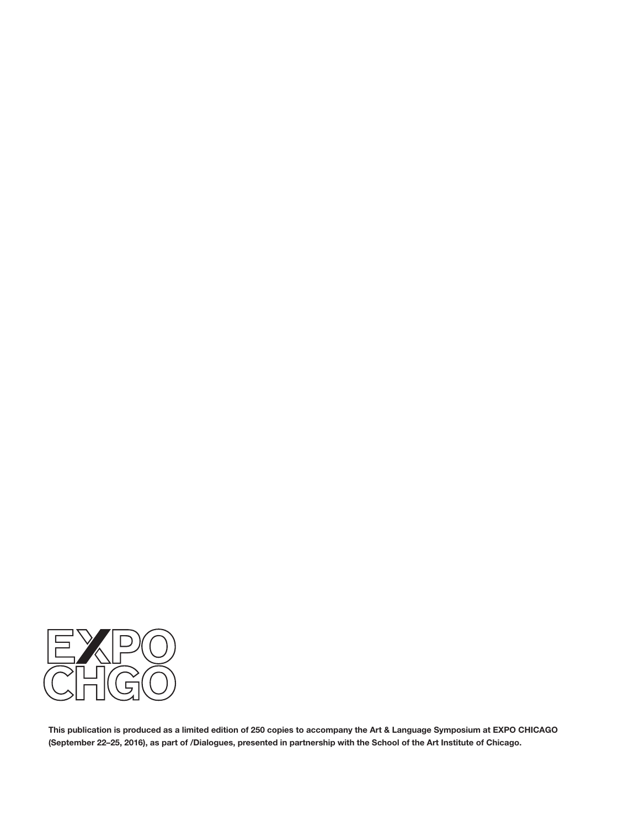

This publication is produced as a limited edition of 250 copies to accompany the Art & Language Symposium at EXPO CHICAGO (September 22-25, 2016), as part of /Dialogues, presented in partnership with the School of the Art Institute of Chicago.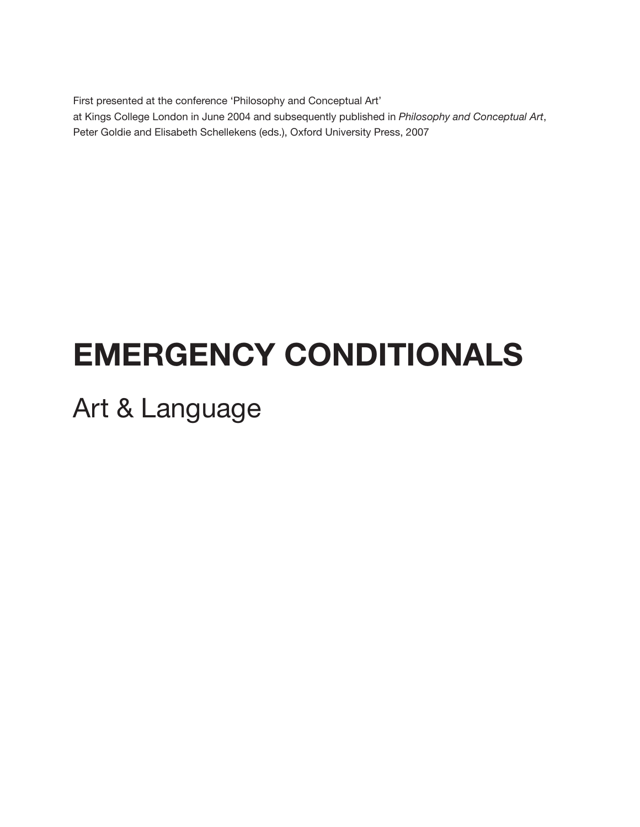First presented at the conference 'Philosophy and Conceptual Art' at Kings College London in June 2004 and subsequently published in *Philosophy and Conceptual Art*, Peter Goldie and Elisabeth Schellekens (eds.), Oxford University Press, 2007

# **EMERGENCY CONDITIONALS**

## Art & Language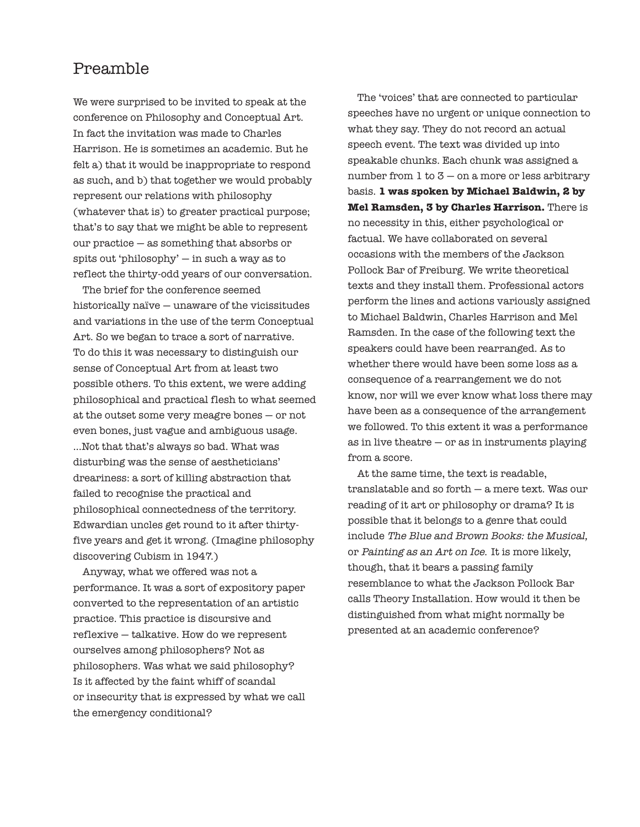#### Preamble

We were surprised to be invited to speak at the conference on Philosophy and Conceptual Art. In fact the invitation was made to Charles Harrison. He is sometimes an academic. But he felt a) that it would be inappropriate to respond as such, and b) that together we would probably represent our relations with philosophy (whatever that is) to greater practical purpose; that's to say that we might be able to represent our practice — as something that absorbs or spits out 'philosophy' — in such a way as to reflect the thirty-odd years of our conversation.

The brief for the conference seemed historically naïve — unaware of the vicissitudes and variations in the use of the term Conceptual Art. So we began to trace a sort of narrative. To do this it was necessary to distinguish our sense of Conceptual Art from at least two possible others. To this extent, we were adding philosophical and practical flesh to what seemed at the outset some very meagre bones — or not even bones, just vague and ambiguous usage. ...Not that that's always so bad. What was disturbing was the sense of aestheticians' dreariness: a sort of killing abstraction that failed to recognise the practical and philosophical connectedness of the territory. Edwardian uncles get round to it after thirtyfive years and get it wrong. (Imagine philosophy discovering Cubism in 1947.)

Anyway, what we offered was not a performance. It was a sort of expository paper converted to the representation of an artistic practice. This practice is discursive and reflexive — talkative. How do we represent ourselves among philosophers? Not as philosophers. Was what we said philosophy? Is it affected by the faint whiff of scandal or insecurity that is expressed by what we call the emergency conditional?

The 'voices' that are connected to particular speeches have no urgent or unique connection to what they say. They do not record an actual speech event. The text was divided up into speakable chunks. Each chunk was assigned a number from  $1$  to  $3$  – on a more or less arbitrary basis. **1 was spoken by Michael Baldwin, 2 by Mel Ramsden, 3 by Charles Harrison.** There is no necessity in this, either psychological or factual. We have collaborated on several occasions with the members of the Jackson Pollock Bar of Freiburg. We write theoretical texts and they install them. Professional actors perform the lines and actions variously assigned to Michael Baldwin, Charles Harrison and Mel Ramsden. In the case of the following text the speakers could have been rearranged. As to whether there would have been some loss as a consequence of a rearrangement we do not know, nor will we ever know what loss there may have been as a consequence of the arrangement we followed. To this extent it was a performance as in live theatre — or as in instruments playing from a score.

At the same time, the text is readable, translatable and so forth — a mere text. Was our reading of it art or philosophy or drama? It is possible that it belongs to a genre that could include The Blue and Brown Books: the Musical, or Painting as an Art on Ice. It is more likely, though, that it bears a passing family resemblance to what the Jackson Pollock Bar calls Theory Installation. How would it then be distinguished from what might normally be presented at an academic conference?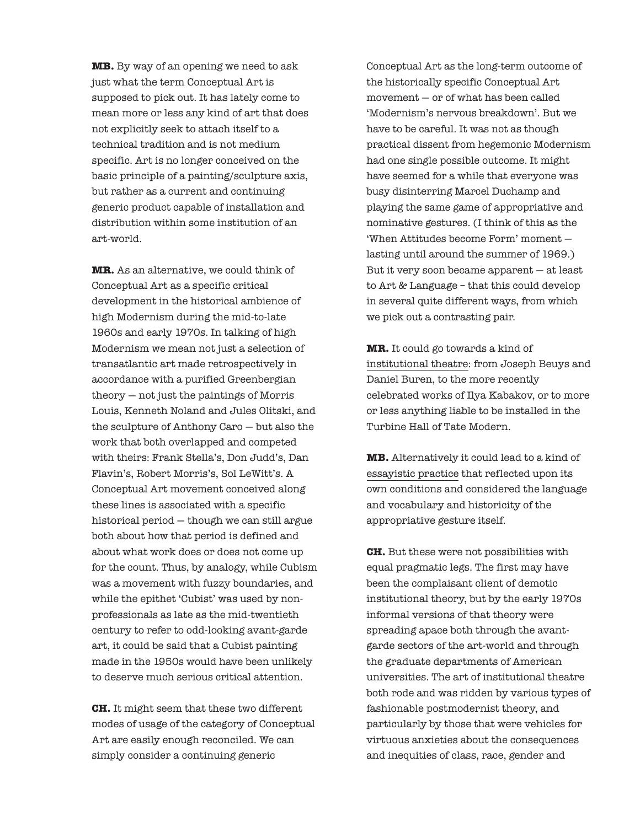**MB.** By way of an opening we need to ask just what the term Conceptual Art is supposed to pick out. It has lately come to mean more or less any kind of art that does not explicitly seek to attach itself to a technical tradition and is not medium specific. Art is no longer conceived on the basic principle of a painting/sculpture axis, but rather as a current and continuing generic product capable of installation and distribution within some institution of an art-world.

**MR.** As an alternative, we could think of Conceptual Art as a specific critical development in the historical ambience of high Modernism during the mid-to-late 1960s and early 1970s. In talking of high Modernism we mean not just a selection of transatlantic art made retrospectively in accordance with a purified Greenbergian theory — not just the paintings of Morris Louis, Kenneth Noland and Jules Olitski, and the sculpture of Anthony Caro — but also the work that both overlapped and competed with theirs: Frank Stella's, Don Judd's, Dan Flavin's, Robert Morris's, Sol LeWitt's. A Conceptual Art movement conceived along these lines is associated with a specific historical period — though we can still argue both about how that period is defined and about what work does or does not come up for the count. Thus, by analogy, while Cubism was a movement with fuzzy boundaries, and while the epithet 'Cubist' was used by nonprofessionals as late as the mid-twentieth century to refer to odd-looking avant-garde art, it could be said that a Cubist painting made in the 1950s would have been unlikely to deserve much serious critical attention.

**CH.** It might seem that these two different modes of usage of the category of Conceptual Art are easily enough reconciled. We can simply consider a continuing generic

Conceptual Art as the long-term outcome of the historically specific Conceptual Art movement — or of what has been called 'Modernism's nervous breakdown'. But we have to be careful. It was not as though practical dissent from hegemonic Modernism had one single possible outcome. It might have seemed for a while that everyone was busy disinterring Marcel Duchamp and playing the same game of appropriative and nominative gestures. (I think of this as the 'When Attitudes become Form' moment lasting until around the summer of 1969.) But it very soon became apparent — at least to Art & Language – that this could develop in several quite different ways, from which we pick out a contrasting pair.

**MR.** It could go towards a kind of institutional theatre: from Joseph Beuys and Daniel Buren, to the more recently celebrated works of Ilya Kabakov, or to more or less anything liable to be installed in the Turbine Hall of Tate Modern.

**MB.** Alternatively it could lead to a kind of essayistic practice that reflected upon its own conditions and considered the language and vocabulary and historicity of the appropriative gesture itself.

**CH.** But these were not possibilities with equal pragmatic legs. The first may have been the complaisant client of demotic institutional theory, but by the early 1970s informal versions of that theory were spreading apace both through the avantgarde sectors of the art-world and through the graduate departments of American universities. The art of institutional theatre both rode and was ridden by various types of fashionable postmodernist theory, and particularly by those that were vehicles for virtuous anxieties about the consequences and inequities of class, race, gender and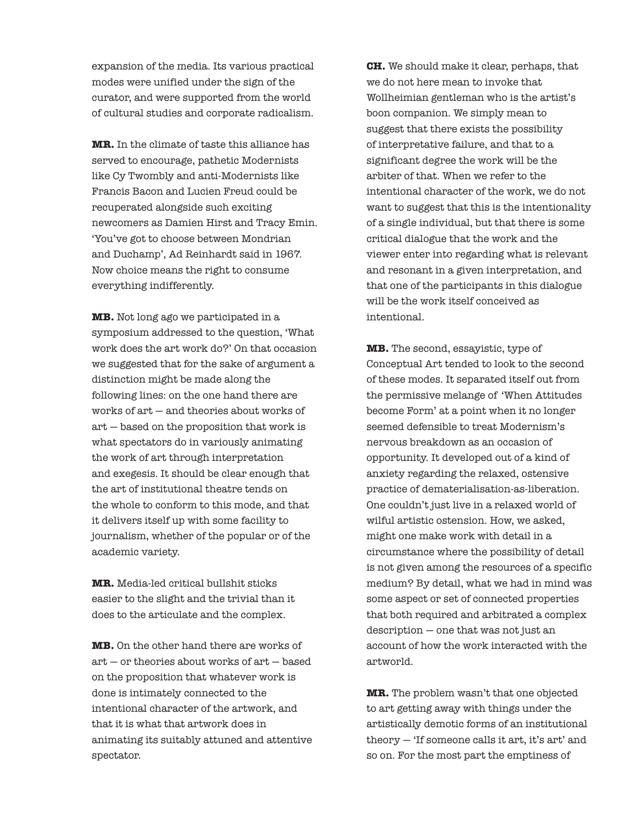expansion of the media. Its various practical modes were unified under the sign of the curator, and were supported from the world of cultural studies and corporate radicalism.

**MR.** In the climate of taste this alliance has served to encourage, pathetic Modernists like Cy Twombly and anti-Modernists like Francis Bacon and Lucien Freud could be recuperated alongside such exciting newcomers as Damien Hirst and Tracy Emin. 'You've got to choose between Mondrian and Duchamp', Ad Reinhardt said in 1967. Now choice means the right to consume everything indifferently.

**MB.** Not long ago we participated in a symposium addressed to the question, 'What work does the art work do?' On that occasion we suggested that for the sake of argument a distinction might be made along the following lines: on the one hand there are works of art — and theories about works of art — based on the proposition that work is what spectators do in variously animating the work of art through interpretation and exegesis. It should be clear enough that the art of institutional theatre tends on the whole to conform to this mode, and that it delivers itself up with some facility to journalism, whether of the popular or of the academic variety.

**MR.** Media-led critical bullshit sticks easier to the slight and the trivial than it does to the articulate and the complex.

**MB.** On the other hand there are works of art — or theories about works of art — based on the proposition that whatever work is done is intimately connected to the intentional character of the artwork, and that it is what that artwork does in animating its suitably attuned and attentive spectator.

**CH.** We should make it clear, perhaps, that we do not here mean to invoke that Wollheimian gentleman who is the artist's boon companion. We simply mean to suggest that there exists the possibility of interpretative failure, and that to a significant degree the work will be the arbiter of that. When we refer to the intentional character of the work, we do not want to suggest that this is the intentionality of a single individual, but that there is some critical dialogue that the work and the viewer enter into regarding what is relevant and resonant in a given interpretation, and that one of the participants in this dialogue will be the work itself conceived as intentional.

**MB.** The second, essayistic, type of Conceptual Art tended to look to the second of these modes. It separated itself out from the permissive melange of 'When Attitudes become Form' at a point when it no longer seemed defensible to treat Modernism's nervous breakdown as an occasion of opportunity. It developed out of a kind of anxiety regarding the relaxed, ostensive practice of dematerialisation-as-liberation. One couldn't just live in a relaxed world of wilful artistic ostension. How, we asked, might one make work with detail in a circumstance where the possibility of detail is not given among the resources of a specific medium? By detail, what we had in mind was some aspect or set of connected properties that both required and arbitrated a complex description — one that was not just an account of how the work interacted with the artworld.

**MR.** The problem wasn't that one objected to art getting away with things under the artistically demotic forms of an institutional theory — 'If someone calls it art, it's art' and so on. For the most part the emptiness of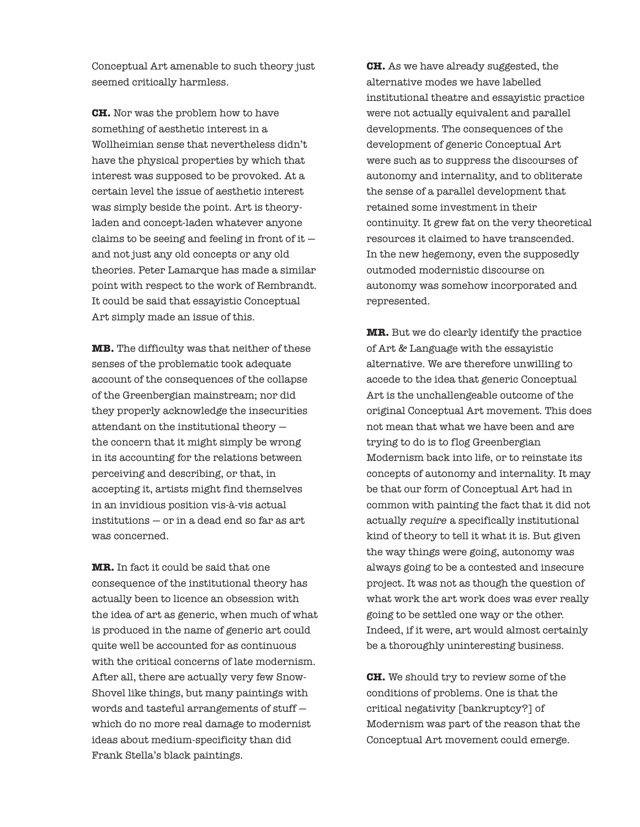Conceptual Art amenable to such theory just seemed critically harmless.

**CH.** Nor was the problem how to have something of aesthetic interest in a Wollheimian sense that nevertheless didn't have the physical properties by which that interest was supposed to be provoked. At a certain level the issue of aesthetic interest was simply beside the point. Art is theoryladen and concept-laden whatever anyone claims to be seeing and feeling in front of it  $$ and not just any old concepts or any old theories. Peter Lamarque has made a similar point with respect to the work of Rembrandt. It could be said that essayistic Conceptual Art simply made an issue of this.

**MB.** The difficulty was that neither of these senses of the problematic took adequate account of the consequences of the collapse of the Greenbergian mainstream; nor did they properly acknowledge the insecurities attendant on the institutional theory the concern that it might simply be wrong in its accounting for the relations between perceiving and describing, or that, in accepting it, artists might find themselves in an invidious position vis-à-vis actual institutions — or in a dead end so far as art was concerned.

**MR.** In fact it could be said that one consequence of the institutional theory has actually been to licence an obsession with the idea of art as generic, when much of what is produced in the name of generic art could quite well be accounted for as continuous with the critical concerns of late modernism. After all, there are actually very few Snow-Shovel like things, but many paintings with words and tasteful arrangements of stuff which do no more real damage to modernist ideas about medium-specificity than did Frank Stella's black paintings.

**CH.** As we have already suggested, the alternative modes we have labelled institutional theatre and essayistic practice were not actually equivalent and parallel developments. The consequences of the development of generic Conceptual Art were such as to suppress the discourses of autonomy and internality, and to obliterate the sense of a parallel development that retained some investment in their continuity. It grew fat on the very theoretical resources it claimed to have transcended. In the new hegemony, even the supposedly outmoded modernistic discourse on autonomy was somehow incorporated and represented.

**MR.** But we do clearly identify the practice of Art & Language with the essayistic alternative. We are therefore unwilling to accede to the idea that generic Conceptual Art is the unchallengeable outcome of the original Conceptual Art movement. This does not mean that what we have been and are trying to do is to flog Greenbergian Modernism back into life, or to reinstate its concepts of autonomy and internality. It may be that our form of Conceptual Art had in common with painting the fact that it did not actually require a specifically institutional kind of theory to tell it what it is. But given the way things were going, autonomy was always going to be a contested and insecure project. It was not as though the question of what work the art work does was ever really going to be settled one way or the other. Indeed, if it were, art would almost certainly be a thoroughly uninteresting business.

**CH.** We should try to review some of the conditions of problems. One is that the critical negativity [bankruptcy?] of Modernism was part of the reason that the Conceptual Art movement could emerge.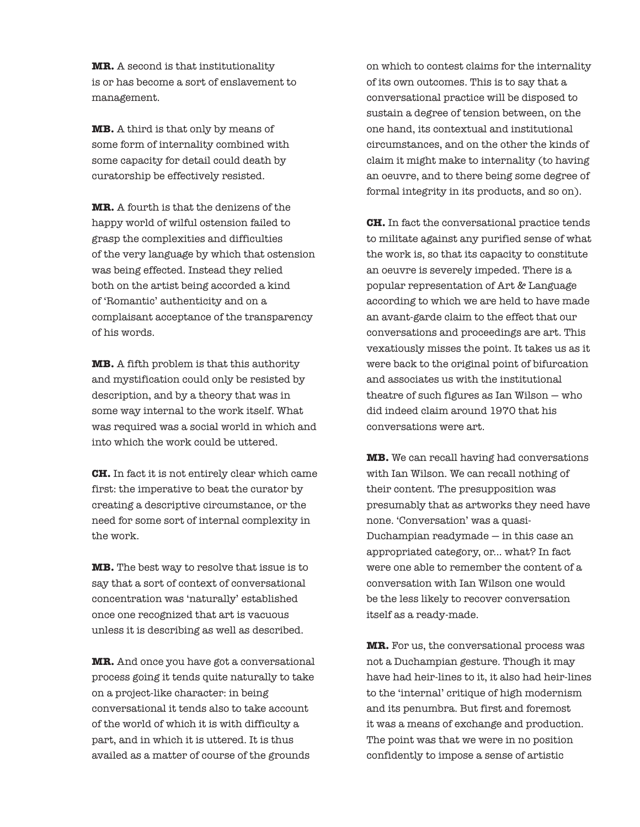**MR.** A second is that institutionality is or has become a sort of enslavement to management.

**MB.** A third is that only by means of some form of internality combined with some capacity for detail could death by curatorship be effectively resisted.

**MR.** A fourth is that the denizens of the happy world of wilful ostension failed to grasp the complexities and difficulties of the very language by which that ostension was being effected. Instead they relied both on the artist being accorded a kind of 'Romantic' authenticity and on a complaisant acceptance of the transparency of his words.

**MB.** A fifth problem is that this authority and mystification could only be resisted by description, and by a theory that was in some way internal to the work itself. What was required was a social world in which and into which the work could be uttered.

**CH.** In fact it is not entirely clear which came first: the imperative to beat the curator by creating a descriptive circumstance, or the need for some sort of internal complexity in the work.

**MB.** The best way to resolve that issue is to say that a sort of context of conversational concentration was 'naturally' established once one recognized that art is vacuous unless it is describing as well as described.

**MR.** And once you have got a conversational process going it tends quite naturally to take on a project-like character: in being conversational it tends also to take account of the world of which it is with difficulty a part, and in which it is uttered. It is thus availed as a matter of course of the grounds

on which to contest claims for the internality of its own outcomes. This is to say that a conversational practice will be disposed to sustain a degree of tension between, on the one hand, its contextual and institutional circumstances, and on the other the kinds of claim it might make to internality (to having an oeuvre, and to there being some degree of formal integrity in its products, and so on).

**CH.** In fact the conversational practice tends to militate against any purified sense of what the work is, so that its capacity to constitute an oeuvre is severely impeded. There is a popular representation of Art & Language according to which we are held to have made an avant-garde claim to the effect that our conversations and proceedings are art. This vexatiously misses the point. It takes us as it were back to the original point of bifurcation and associates us with the institutional theatre of such figures as Ian Wilson — who did indeed claim around 1970 that his conversations were art.

**MB.** We can recall having had conversations with Ian Wilson. We can recall nothing of their content. The presupposition was presumably that as artworks they need have none. 'Conversation' was a quasi-Duchampian readymade — in this case an appropriated category, or... what? In fact were one able to remember the content of a conversation with Ian Wilson one would be the less likely to recover conversation itself as a ready-made.

**MR.** For us, the conversational process was not a Duchampian gesture. Though it may have had heir-lines to it, it also had heir-lines to the 'internal' critique of high modernism and its penumbra. But first and foremost it was a means of exchange and production. The point was that we were in no position confidently to impose a sense of artistic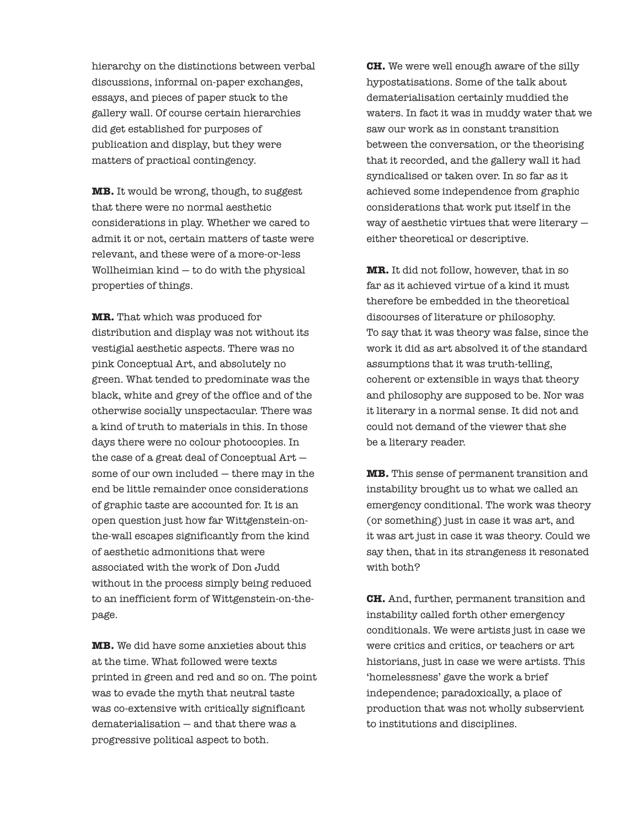hierarchy on the distinctions between verbal discussions, informal on-paper exchanges, essays, and pieces of paper stuck to the gallery wall. Of course certain hierarchies did get established for purposes of publication and display, but they were matters of practical contingency.

**MB.** It would be wrong, though, to suggest that there were no normal aesthetic considerations in play. Whether we cared to admit it or not, certain matters of taste were relevant, and these were of a more-or-less Wollheimian kind — to do with the physical properties of things.

**MR.** That which was produced for distribution and display was not without its vestigial aesthetic aspects. There was no pink Conceptual Art, and absolutely no green. What tended to predominate was the black, white and grey of the office and of the otherwise socially unspectacular. There was a kind of truth to materials in this. In those days there were no colour photocopies. In the case of a great deal of Conceptual Art some of our own included — there may in the end be little remainder once considerations of graphic taste are accounted for. It is an open question just how far Wittgenstein-onthe-wall escapes significantly from the kind of aesthetic admonitions that were associated with the work of Don Judd without in the process simply being reduced to an inefficient form of Wittgenstein-on-thepage.

**MB.** We did have some anxieties about this at the time. What followed were texts printed in green and red and so on. The point was to evade the myth that neutral taste was co-extensive with critically significant dematerialisation — and that there was a progressive political aspect to both.

**CH.** We were well enough aware of the silly hypostatisations. Some of the talk about dematerialisation certainly muddied the waters. In fact it was in muddy water that we saw our work as in constant transition between the conversation, or the theorising that it recorded, and the gallery wall it had syndicalised or taken over. In so far as it achieved some independence from graphic considerations that work put itself in the way of aesthetic virtues that were literary either theoretical or descriptive.

**MR.** It did not follow, however, that in so far as it achieved virtue of a kind it must therefore be embedded in the theoretical discourses of literature or philosophy. To say that it was theory was false, since the work it did as art absolved it of the standard assumptions that it was truth-telling, coherent or extensible in ways that theory and philosophy are supposed to be. Nor was it literary in a normal sense. It did not and could not demand of the viewer that she be a literary reader.

**MB.** This sense of permanent transition and instability brought us to what we called an emergency conditional. The work was theory (or something) just in case it was art, and it was art just in case it was theory. Could we say then, that in its strangeness it resonated with both?

**CH.** And, further, permanent transition and instability called forth other emergency conditionals. We were artists just in case we were critics and critics, or teachers or art historians, just in case we were artists. This 'homelessness' gave the work a brief independence; paradoxically, a place of production that was not wholly subservient to institutions and disciplines.